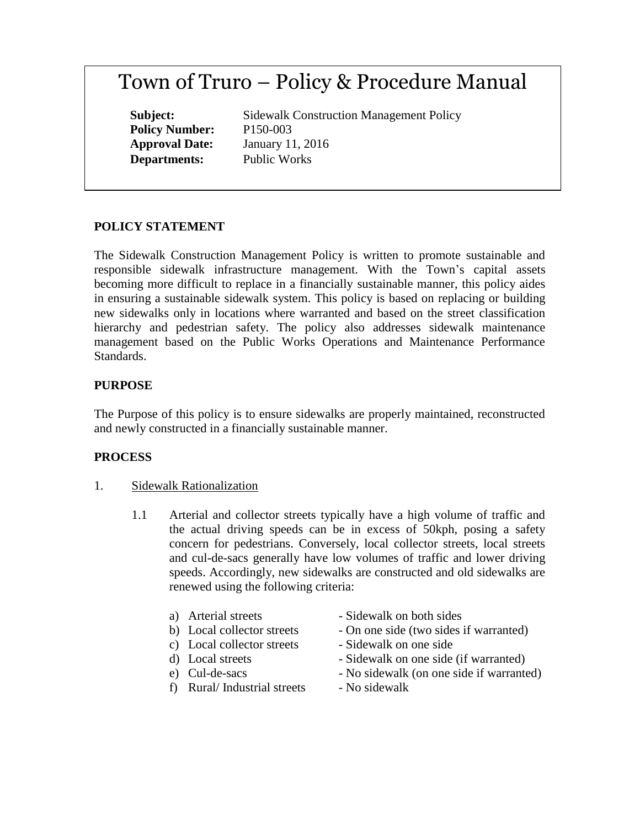# Town of Truro – Policy & Procedure Manual

**Policy Number:** P150-003 **Departments:** Public Works

**Subject:** Sidewalk Construction Management Policy **Approval Date:** January 11, 2016

## **POLICY STATEMENT**

The Sidewalk Construction Management Policy is written to promote sustainable and responsible sidewalk infrastructure management. With the Town's capital assets becoming more difficult to replace in a financially sustainable manner, this policy aides in ensuring a sustainable sidewalk system. This policy is based on replacing or building new sidewalks only in locations where warranted and based on the street classification hierarchy and pedestrian safety. The policy also addresses sidewalk maintenance management based on the Public Works Operations and Maintenance Performance Standards.

## **PURPOSE**

The Purpose of this policy is to ensure sidewalks are properly maintained, reconstructed and newly constructed in a financially sustainable manner.

#### **PROCESS**

- 1. Sidewalk Rationalization
	- 1.1 Arterial and collector streets typically have a high volume of traffic and the actual driving speeds can be in excess of 50kph, posing a safety concern for pedestrians. Conversely, local collector streets, local streets and cul-de-sacs generally have low volumes of traffic and lower driving speeds. Accordingly, new sidewalks are constructed and old sidewalks are renewed using the following criteria:
		-
		-
		- c) Local collector streets Sidewalk on one side
		-
		-
		- f) Rural/Industrial streets No sidewalk
		- a) Arterial streets Sidewalk on both sides
		- b) Local collector streets On one side (two sides if warranted)
			-
		- d) Local streets Sidewalk on one side (if warranted)
		- e) Cul-de-sacs No sidewalk (on one side if warranted)
			-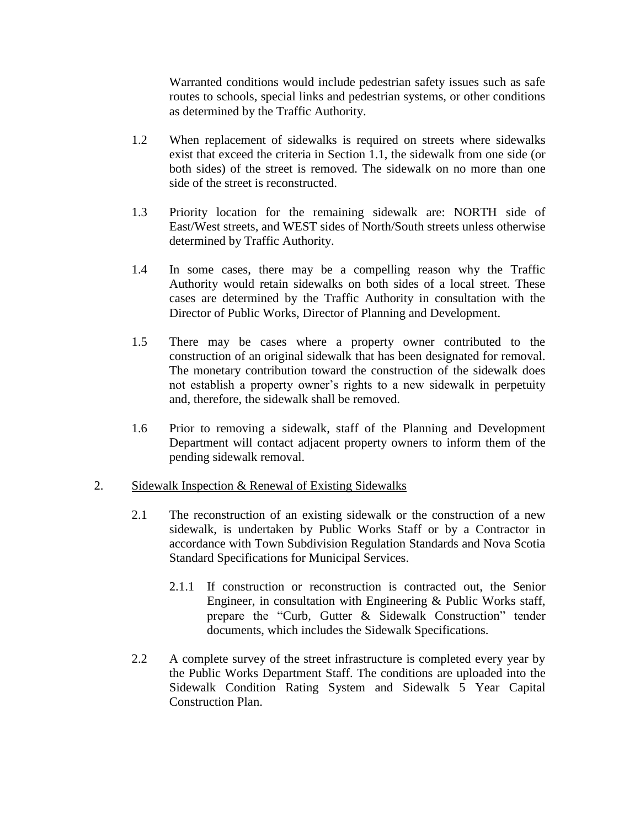Warranted conditions would include pedestrian safety issues such as safe routes to schools, special links and pedestrian systems, or other conditions as determined by the Traffic Authority.

- 1.2 When replacement of sidewalks is required on streets where sidewalks exist that exceed the criteria in Section 1.1, the sidewalk from one side (or both sides) of the street is removed. The sidewalk on no more than one side of the street is reconstructed.
- 1.3 Priority location for the remaining sidewalk are: NORTH side of East/West streets, and WEST sides of North/South streets unless otherwise determined by Traffic Authority.
- 1.4 In some cases, there may be a compelling reason why the Traffic Authority would retain sidewalks on both sides of a local street. These cases are determined by the Traffic Authority in consultation with the Director of Public Works, Director of Planning and Development.
- 1.5 There may be cases where a property owner contributed to the construction of an original sidewalk that has been designated for removal. The monetary contribution toward the construction of the sidewalk does not establish a property owner's rights to a new sidewalk in perpetuity and, therefore, the sidewalk shall be removed.
- 1.6 Prior to removing a sidewalk, staff of the Planning and Development Department will contact adjacent property owners to inform them of the pending sidewalk removal.

#### 2. Sidewalk Inspection & Renewal of Existing Sidewalks

- 2.1 The reconstruction of an existing sidewalk or the construction of a new sidewalk, is undertaken by Public Works Staff or by a Contractor in accordance with Town Subdivision Regulation Standards and Nova Scotia Standard Specifications for Municipal Services.
	- 2.1.1 If construction or reconstruction is contracted out, the Senior Engineer, in consultation with Engineering & Public Works staff, prepare the "Curb, Gutter & Sidewalk Construction" tender documents, which includes the Sidewalk Specifications.
- 2.2 A complete survey of the street infrastructure is completed every year by the Public Works Department Staff. The conditions are uploaded into the Sidewalk Condition Rating System and Sidewalk 5 Year Capital Construction Plan.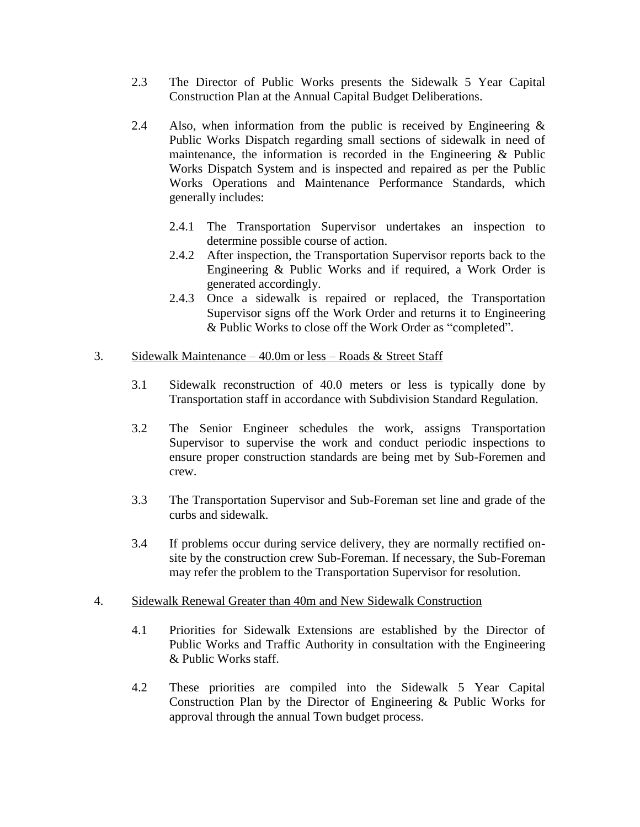- 2.3 The Director of Public Works presents the Sidewalk 5 Year Capital Construction Plan at the Annual Capital Budget Deliberations.
- 2.4 Also, when information from the public is received by Engineering  $\&$ Public Works Dispatch regarding small sections of sidewalk in need of maintenance, the information is recorded in the Engineering & Public Works Dispatch System and is inspected and repaired as per the Public Works Operations and Maintenance Performance Standards, which generally includes:
	- 2.4.1 The Transportation Supervisor undertakes an inspection to determine possible course of action.
	- 2.4.2 After inspection, the Transportation Supervisor reports back to the Engineering & Public Works and if required, a Work Order is generated accordingly.
	- 2.4.3 Once a sidewalk is repaired or replaced, the Transportation Supervisor signs off the Work Order and returns it to Engineering & Public Works to close off the Work Order as "completed".

### 3. Sidewalk Maintenance – 40.0m or less – Roads & Street Staff

- 3.1 Sidewalk reconstruction of 40.0 meters or less is typically done by Transportation staff in accordance with Subdivision Standard Regulation.
- 3.2 The Senior Engineer schedules the work, assigns Transportation Supervisor to supervise the work and conduct periodic inspections to ensure proper construction standards are being met by Sub-Foremen and crew.
- 3.3 The Transportation Supervisor and Sub-Foreman set line and grade of the curbs and sidewalk.
- 3.4 If problems occur during service delivery, they are normally rectified onsite by the construction crew Sub-Foreman. If necessary, the Sub-Foreman may refer the problem to the Transportation Supervisor for resolution.

#### 4. Sidewalk Renewal Greater than 40m and New Sidewalk Construction

- 4.1 Priorities for Sidewalk Extensions are established by the Director of Public Works and Traffic Authority in consultation with the Engineering & Public Works staff.
- 4.2 These priorities are compiled into the Sidewalk 5 Year Capital Construction Plan by the Director of Engineering & Public Works for approval through the annual Town budget process.